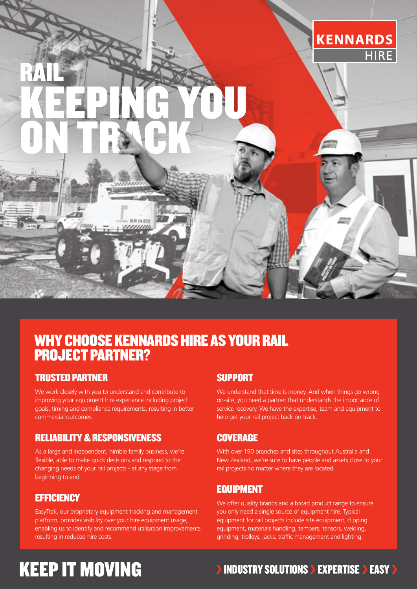

### WHY CHOOSE KENNARDS HIRE AS YOUR RAIL PROJECT PARTNER?

#### TRUSTED PARTNER

We work closely with you to understand and contribute to improving your equipment hire experience including project goals, timing and compliance requirements, resulting in better commercial outcomes.

### RELIABILITY & RESPONSIVENESS

As a large and independent, nimble family business, we're flexible, able to make quick decisions and respond to the changing needs of your rail projects - at any stage from beginning to end.

#### **EFFICIENCY**

EasyTrak, our proprietary equipment tracking and management platform, provides visibility over your hire equipment usage, enabling us to identify and recommend utilisation improvements resulting in reduced hire costs.

#### SUPPORT

We understand that time is money. And when things go wrong on-site, you need a partner that understands the importance of service recovery. We have the expertise, team and equipment to help get your rail project back on track.

### **COVERAGE**

With over 190 branches and sites throughout Australia and New Zealand, we're sure to have people and assets close to your rail projects no matter where they are located.

### EQUIPMENT

We offer quality brands and a broad product range to ensure you only need a single source of equipment hire. Typical equipment for rail projects include site equipment, clipping equipment, materials handling, tampers, tensors, welding, grinding, trolleys, jacks, traffic management and lighting.

## **KEEP IT MOVING**

### **INDUSTRY SOLUTIONS > EXPERTISE > EASY >**